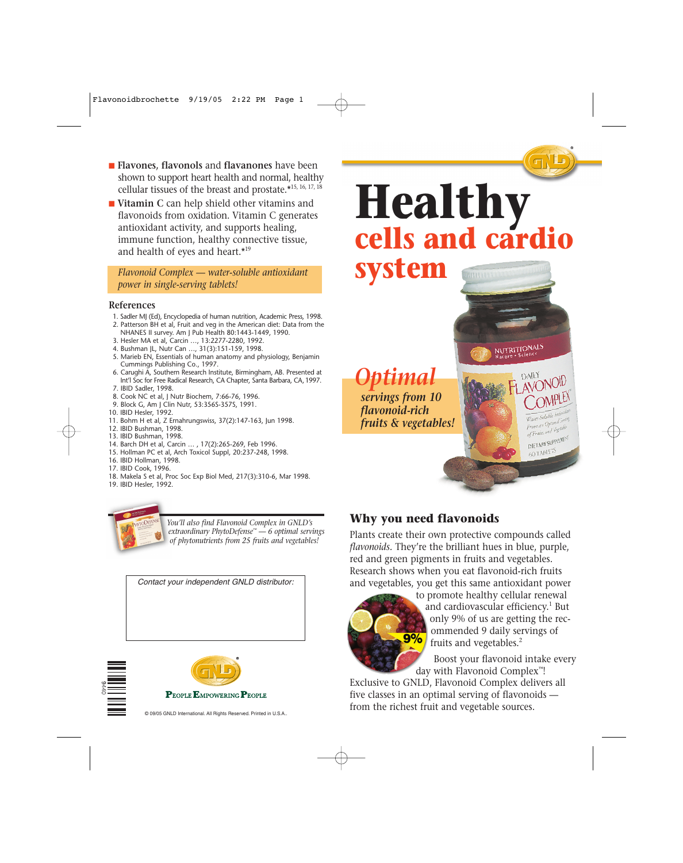- **Flavones**, **flavonols** and **flavanones** have been shown to support heart health and normal, healthy cellular tissues of the breast and prostate.\*15, 16, 17, 18
- **Vitamin C** can help shield other vitamins and flavonoids from oxidation. Vitamin C generates antioxidant activity, and supports healing, immune function, healthy connective tissue, and health of eyes and heart.\*19

*Flavonoid Complex — water-soluble antioxidant power in single-serving tablets!*

#### **References**

- 1. Sadler MJ (Ed), Encyclopedia of human nutrition, Academic Press, 1998.
- 2. Patterson BH et al, Fruit and veg in the American diet: Data from the NHANES II survey. Am J Pub Health 80:1443-1449, 1990.
- 3. Hesler MA et al, Carcin …, 13:2277-2280, 1992.
- 4. Bushman JL, Nutr Can …, 31(3):151-159, 1998.
- 5. Marieb EN, Essentials of human anatomy and physiology, Benjamin Cummings Publishing Co., 1997.
- 6. Carughi A, Southern Research Institute, Birmingham, AB. Presented at Int'l Soc for Free Radical Research, CA Chapter, Santa Barbara, CA,1997.
- 7. IBID Sadler, 1998.
- 8. Cook NC et al, J Nutr Biochem, 7:66-76, 1996.
- 9. Block G, Am J Clin Nutr, 53:356S-357S, 1991.
- 10. IBID Hesler, 1992.
- 11. Bohm H et al, Z Ernahrungswiss, 37(2):147-163, Jun 1998.
- 12. IBID Bushman, 1998.
- 13. IBID Bushman, 1998.
- 14. Barch DH et al, Carcin … , 17(2):265-269, Feb 1996.
- 15. Hollman PC et al, Arch Toxicol Suppl, 20:237-248, 1998. 16. IBID Hollman, 1998.
- 17. IBID Cook, 1996.
- 18. Makela S et al, Proc Soc Exp Biol Med, 217(3):310-6, Mar 1998.
- 19. IBID Hesler, 1992.



*You'll also find Flavonoid Complex in GNLD's extraordinary PhytoDefense™ — 6 optimal servings of phytonutrients from 25 fruits and vegetables!*

*Contact your independent GNLD distributor:*





**PEOPLE EMPOWERING PEOPLE** 



*Optimal servings from 10 flavonoid-rich fruits & vegetables!*

#### **Why you need flavonoids**

Plants create their own protective compounds called *flavonoids.* They're the brilliant hues in blue, purple, red and green pigments in fruits and vegetables. Research shows when you eat flavonoid-rich fruits and vegetables, you get this same antioxidant power



to promote healthy cellular renewal and cardiovascular efficiency.<sup>1</sup> But only 9% of us are getting the recommended 9 daily servings of fruits and vegetables.2

DAILY

Water-Soluble And Service<br>From an Optimal Service From an Optima<br>of Fruits and Vegetable DIETARY SUPPLEMENT 60 TABLETS

Boost your flavonoid intake every day with Flavonoid Complex™!

Exclusive to GNLD, Flavonoid Complex delivers all five classes in an optimal serving of flavonoids from the richest fruit and vegetable sources.